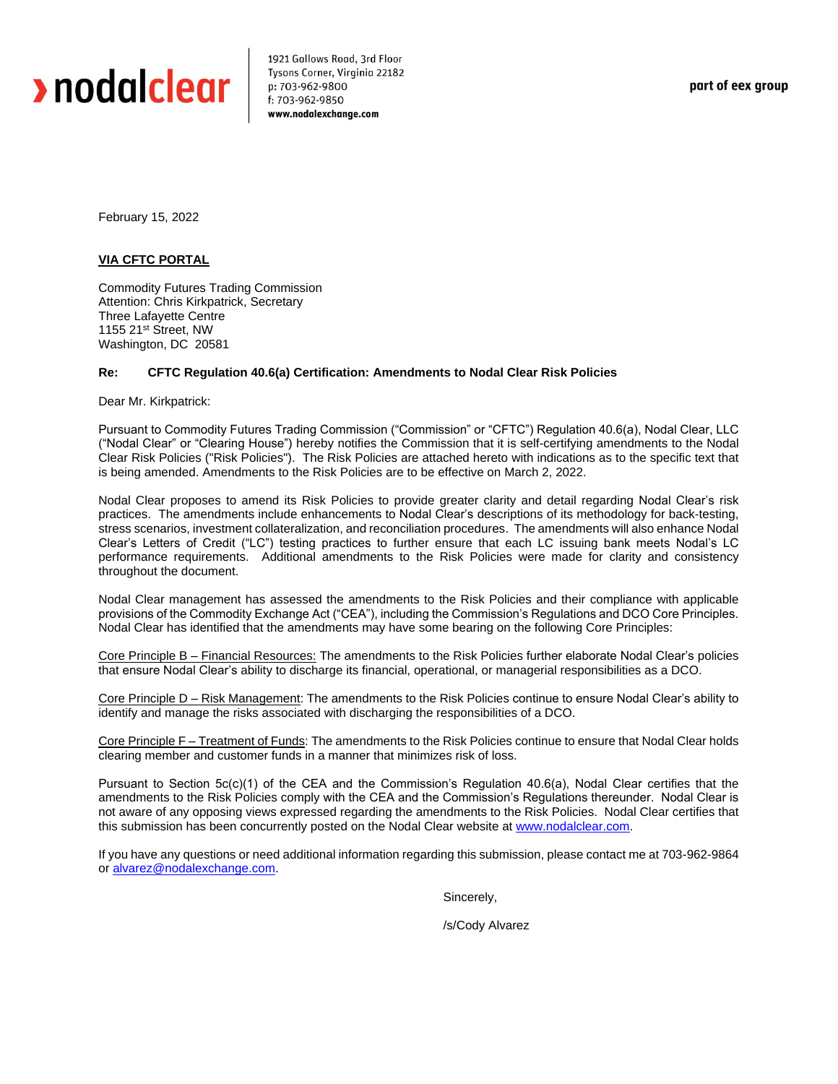

1921 Gallows Road, 3rd Floor Tysons Corner, Virginia 22182 p: 703-962-9800 f: 703-962-9850 www.nodalexchange.com

February 15, 2022

## **VIA CFTC PORTAL**

Commodity Futures Trading Commission Attention: Chris Kirkpatrick, Secretary Three Lafayette Centre 1155 21st Street, NW Washington, DC 20581

## **Re: CFTC Regulation 40.6(a) Certification: Amendments to Nodal Clear Risk Policies**

Dear Mr. Kirkpatrick:

Pursuant to Commodity Futures Trading Commission ("Commission" or "CFTC") Regulation 40.6(a), Nodal Clear, LLC ("Nodal Clear" or "Clearing House") hereby notifies the Commission that it is self-certifying amendments to the Nodal Clear Risk Policies ("Risk Policies"). The Risk Policies are attached hereto with indications as to the specific text that is being amended. Amendments to the Risk Policies are to be effective on March 2, 2022.

Nodal Clear proposes to amend its Risk Policies to provide greater clarity and detail regarding Nodal Clear's risk practices. The amendments include enhancements to Nodal Clear's descriptions of its methodology for back-testing, stress scenarios, investment collateralization, and reconciliation procedures. The amendments will also enhance Nodal Clear's Letters of Credit ("LC") testing practices to further ensure that each LC issuing bank meets Nodal's LC performance requirements. Additional amendments to the Risk Policies were made for clarity and consistency throughout the document.

Nodal Clear management has assessed the amendments to the Risk Policies and their compliance with applicable provisions of the Commodity Exchange Act ("CEA"), including the Commission's Regulations and DCO Core Principles. Nodal Clear has identified that the amendments may have some bearing on the following Core Principles:

Core Principle B – Financial Resources: The amendments to the Risk Policies further elaborate Nodal Clear's policies that ensure Nodal Clear's ability to discharge its financial, operational, or managerial responsibilities as a DCO.

Core Principle D – Risk Management: The amendments to the Risk Policies continue to ensure Nodal Clear's ability to identify and manage the risks associated with discharging the responsibilities of a DCO.

Core Principle F – Treatment of Funds: The amendments to the Risk Policies continue to ensure that Nodal Clear holds clearing member and customer funds in a manner that minimizes risk of loss.

Pursuant to Section 5c(c)(1) of the CEA and the Commission's Regulation 40.6(a), Nodal Clear certifies that the amendments to the Risk Policies comply with the CEA and the Commission's Regulations thereunder. Nodal Clear is not aware of any opposing views expressed regarding the amendments to the Risk Policies. Nodal Clear certifies that this submission has been concurrently posted on the Nodal Clear website at [www.nodalclear.com.](http://www.nodalexchange.com/)

If you have any questions or need additional information regarding this submission, please contact me at 703-962-9864 o[r alvarez@nodalexchange.com.](mailto:Herrera@nodalexchange.com)

Sincerely,

/s/Cody Alvarez